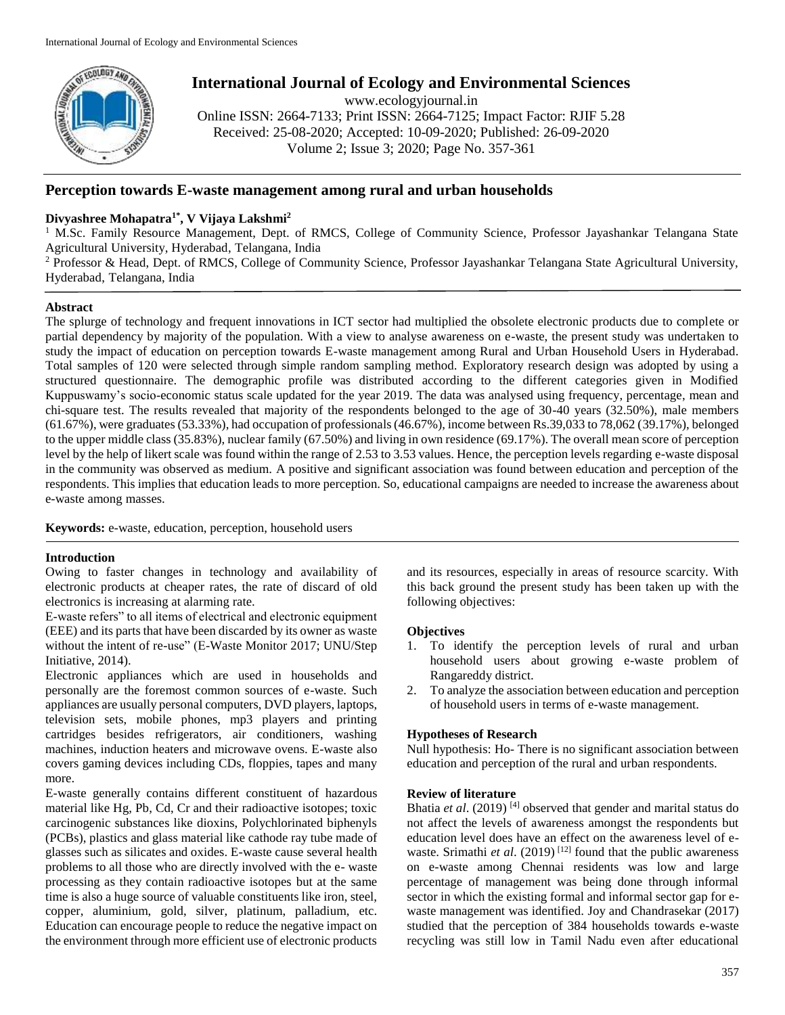

# **International Journal of Ecology and Environmental Sciences**

www.ecologyjournal.in

Online ISSN: 2664-7133; Print ISSN: 2664-7125; Impact Factor: RJIF 5.28 Received: 25-08-2020; Accepted: 10-09-2020; Published: 26-09-2020 Volume 2; Issue 3; 2020; Page No. 357-361

# **Perception towards E-waste management among rural and urban households**

# **Divyashree Mohapatra1\* , V Vijaya Lakshmi<sup>2</sup>**

<sup>1</sup> M.Sc. Family Resource Management, Dept. of RMCS, College of Community Science, Professor Jayashankar Telangana State Agricultural University, Hyderabad, Telangana, India

<sup>2</sup> Professor & Head, Dept. of RMCS, College of Community Science, Professor Jayashankar Telangana State Agricultural University, Hyderabad, Telangana, India

# **Abstract**

The splurge of technology and frequent innovations in ICT sector had multiplied the obsolete electronic products due to complete or partial dependency by majority of the population. With a view to analyse awareness on e-waste, the present study was undertaken to study the impact of education on perception towards E-waste management among Rural and Urban Household Users in Hyderabad. Total samples of 120 were selected through simple random sampling method. Exploratory research design was adopted by using a structured questionnaire. The demographic profile was distributed according to the different categories given in Modified Kuppuswamy's socio-economic status scale updated for the year 2019. The data was analysed using frequency, percentage, mean and chi-square test. The results revealed that majority of the respondents belonged to the age of 30-40 years (32.50%), male members (61.67%), were graduates (53.33%), had occupation of professionals (46.67%), income between Rs.39,033 to 78,062 (39.17%), belonged to the upper middle class (35.83%), nuclear family (67.50%) and living in own residence (69.17%). The overall mean score of perception level by the help of likert scale was found within the range of 2.53 to 3.53 values. Hence, the perception levels regarding e-waste disposal in the community was observed as medium. A positive and significant association was found between education and perception of the respondents. This implies that education leads to more perception. So, educational campaigns are needed to increase the awareness about e-waste among masses.

**Keywords:** e-waste, education, perception, household users

### **Introduction**

Owing to faster changes in technology and availability of electronic products at cheaper rates, the rate of discard of old electronics is increasing at alarming rate.

E-waste refers" to all items of electrical and electronic equipment (EEE) and its parts that have been discarded by its owner as waste without the intent of re-use" (E-Waste Monitor 2017; UNU/Step Initiative, 2014).

Electronic appliances which are used in households and personally are the foremost common sources of e-waste. Such appliances are usually personal computers, DVD players, laptops, television sets, mobile phones, mp3 players and printing cartridges besides refrigerators, air conditioners, washing machines, induction heaters and microwave ovens. E-waste also covers gaming devices including CDs, floppies, tapes and many more.

E-waste generally contains different constituent of hazardous material like Hg, Pb, Cd, Cr and their radioactive isotopes; toxic carcinogenic substances like dioxins, Polychlorinated biphenyls (PCBs), plastics and glass material like cathode ray tube made of glasses such as silicates and oxides. E-waste cause several health problems to all those who are directly involved with the e- waste processing as they contain radioactive isotopes but at the same time is also a huge source of valuable constituents like iron, steel, copper, aluminium, gold, silver, platinum, palladium, etc. Education can encourage people to reduce the negative impact on the environment through more efficient use of electronic products

and its resources, especially in areas of resource scarcity. With this back ground the present study has been taken up with the following objectives:

# **Objectives**

- 1. To identify the perception levels of rural and urban household users about growing e-waste problem of Rangareddy district.
- 2. To analyze the association between education and perception of household users in terms of e-waste management.

# **Hypotheses of Research**

Null hypothesis: Ho- There is no significant association between education and perception of the rural and urban respondents.

### **Review of literature**

Bhatia *et al*. (2019) [4] observed that gender and marital status do not affect the levels of awareness amongst the respondents but education level does have an effect on the awareness level of ewaste. Srimathi *et al.* (2019)<sup>[12]</sup> found that the public awareness on e-waste among Chennai residents was low and large percentage of management was being done through informal sector in which the existing formal and informal sector gap for ewaste management was identified. Joy and Chandrasekar (2017) studied that the perception of 384 households towards e-waste recycling was still low in Tamil Nadu even after educational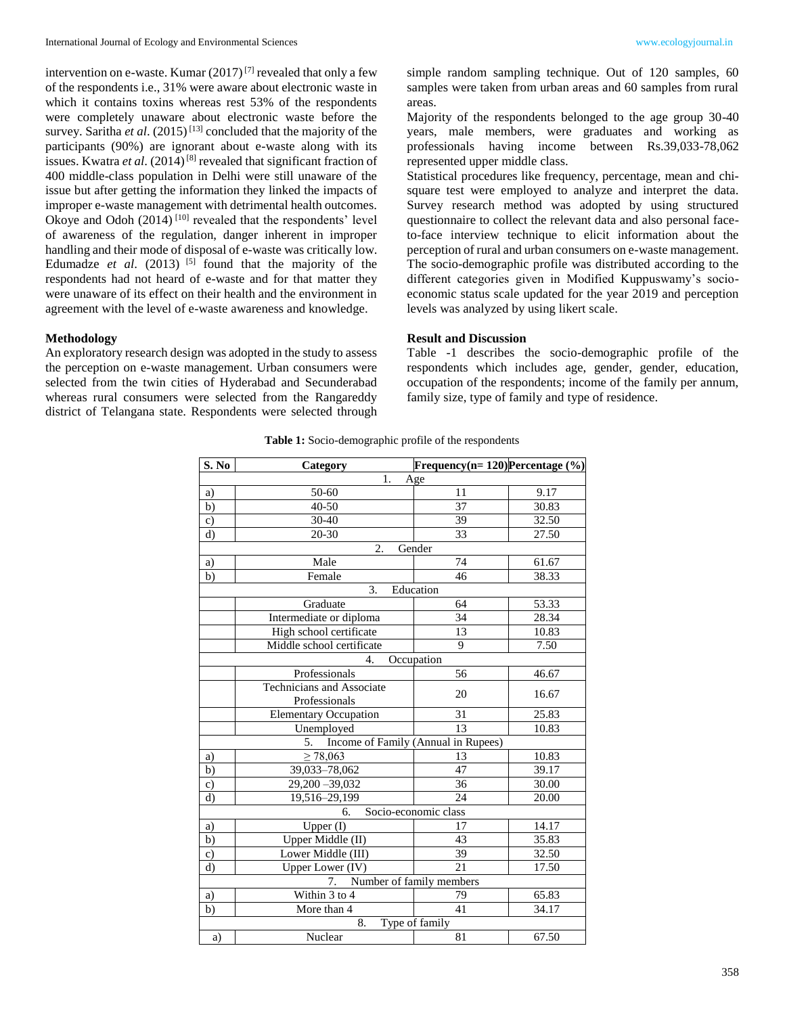intervention on e-waste. Kumar  $(2017)^{7}$  revealed that only a few of the respondents i.e., 31% were aware about electronic waste in which it contains toxins whereas rest 53% of the respondents were completely unaware about electronic waste before the survey. Saritha *et al.*  $(2015)^{[13]}$  concluded that the majority of the participants (90%) are ignorant about e-waste along with its issues. Kwatra *et al.* (2014)<sup>[8]</sup> revealed that significant fraction of 400 middle-class population in Delhi were still unaware of the issue but after getting the information they linked the impacts of improper e-waste management with detrimental health outcomes. Okoye and Odoh  $(2014)$ <sup>[10]</sup> revealed that the respondents' level of awareness of the regulation, danger inherent in improper handling and their mode of disposal of e-waste was critically low. Edumadze *et al.* (2013)  $^{[5]}$  found that the majority of the respondents had not heard of e-waste and for that matter they were unaware of its effect on their health and the environment in agreement with the level of e-waste awareness and knowledge.

# **Methodology**

An exploratory research design was adopted in the study to assess the perception on e-waste management. Urban consumers were selected from the twin cities of Hyderabad and Secunderabad whereas rural consumers were selected from the Rangareddy district of Telangana state. Respondents were selected through simple random sampling technique. Out of 120 samples, 60 samples were taken from urban areas and 60 samples from rural areas.

Majority of the respondents belonged to the age group 30-40 years, male members, were graduates and working as professionals having income between Rs.39,033-78,062 represented upper middle class.

Statistical procedures like frequency, percentage, mean and chisquare test were employed to analyze and interpret the data. Survey research method was adopted by using structured questionnaire to collect the relevant data and also personal faceto-face interview technique to elicit information about the perception of rural and urban consumers on e-waste management. The socio-demographic profile was distributed according to the different categories given in Modified Kuppuswamy's socioeconomic status scale updated for the year 2019 and perception levels was analyzed by using likert scale.

### **Result and Discussion**

Table -1 describes the socio-demographic profile of the respondents which includes age, gender, gender, education, occupation of the respondents; income of the family per annum, family size, type of family and type of residence.

| S. No                          | Category                     | Frequency(n= $120$ )Percentage (%)  |       |  |  |  |  |  |
|--------------------------------|------------------------------|-------------------------------------|-------|--|--|--|--|--|
| 1.<br>Age                      |                              |                                     |       |  |  |  |  |  |
| a)                             | 50-60                        | 11                                  | 9.17  |  |  |  |  |  |
| b)                             | 40-50                        | 37                                  | 30.83 |  |  |  |  |  |
| $\mathbf{c})$                  | 30-40                        | 39                                  | 32.50 |  |  |  |  |  |
| d)                             | 20-30                        | 33                                  | 27.50 |  |  |  |  |  |
| $\overline{2}$ .<br>Gender     |                              |                                     |       |  |  |  |  |  |
| a)                             | Male                         | 74                                  | 61.67 |  |  |  |  |  |
| b)                             | Female                       | 46                                  | 38.33 |  |  |  |  |  |
|                                | 3.<br>Education              |                                     |       |  |  |  |  |  |
|                                | Graduate                     | 64                                  | 53.33 |  |  |  |  |  |
|                                | Intermediate or diploma      | 34                                  | 28.34 |  |  |  |  |  |
|                                | High school certificate      | 13                                  | 10.83 |  |  |  |  |  |
|                                | Middle school certificate    | 9                                   | 7.50  |  |  |  |  |  |
| Occupation<br>4.               |                              |                                     |       |  |  |  |  |  |
|                                | Professionals                | 56                                  | 46.67 |  |  |  |  |  |
|                                | Technicians and Associate    | 20                                  | 16.67 |  |  |  |  |  |
|                                | Professionals                |                                     |       |  |  |  |  |  |
|                                | <b>Elementary Occupation</b> | 31                                  | 25.83 |  |  |  |  |  |
|                                | Unemployed                   | 13<br>10.83                         |       |  |  |  |  |  |
|                                | 5.                           | Income of Family (Annual in Rupees) |       |  |  |  |  |  |
| a)                             | $\geq 78,063$                | 13                                  | 10.83 |  |  |  |  |  |
| b)                             | 39,033-78,062                | 47                                  | 39.17 |  |  |  |  |  |
| c)                             | 29,200 - 39,032              | 36                                  | 30.00 |  |  |  |  |  |
| d)                             | 19,516-29,199                | 24                                  | 20.00 |  |  |  |  |  |
|                                | 6.                           | Socio-economic class                |       |  |  |  |  |  |
| a)                             | Upper $(\overline{I})$       | 17                                  | 14.17 |  |  |  |  |  |
| b)                             | Upper Middle (II)            | 43                                  | 35.83 |  |  |  |  |  |
| $\mathbf{c})$                  | Lower Middle (III)           | 39                                  | 32.50 |  |  |  |  |  |
| $d$ )                          | Upper Lower (IV)             | 21                                  | 17.50 |  |  |  |  |  |
| Number of family members<br>7. |                              |                                     |       |  |  |  |  |  |
| a)                             | Within 3 to 4                | 79                                  | 65.83 |  |  |  |  |  |
| b)                             | More than 4                  | 41                                  | 34.17 |  |  |  |  |  |
| Type of family<br>8.           |                              |                                     |       |  |  |  |  |  |
| a)                             | Nuclear                      | 81                                  | 67.50 |  |  |  |  |  |

**Table 1:** Socio-demographic profile of the respondents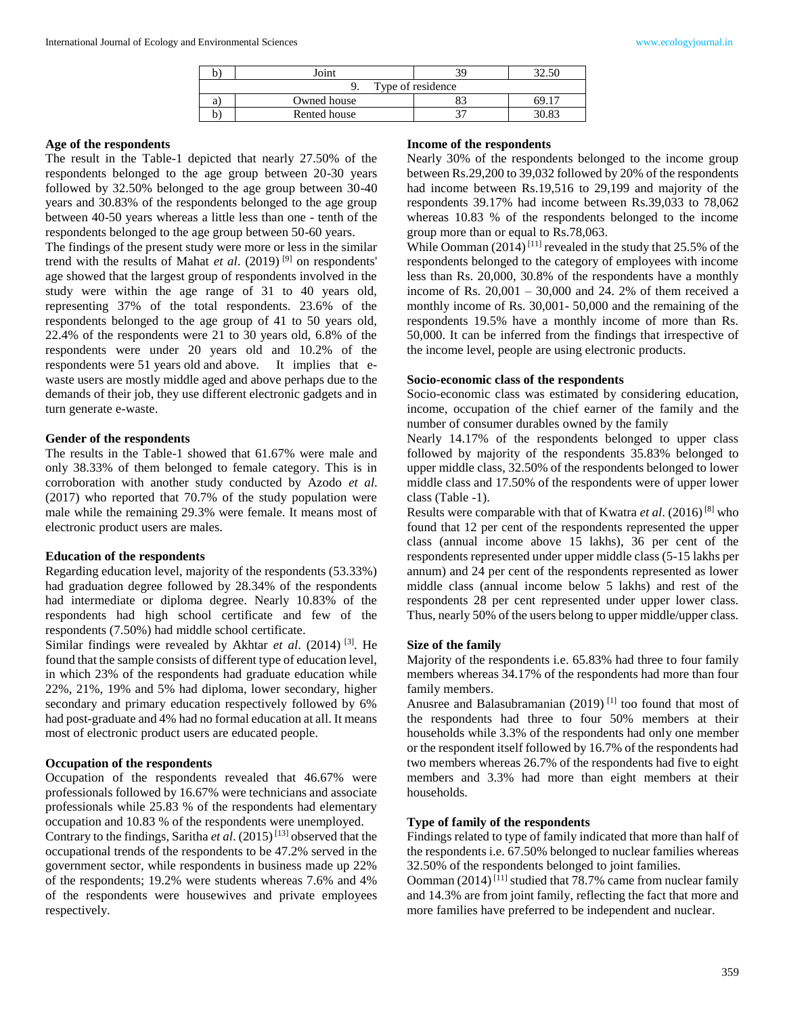|    | Joint             |  |  |  |  |  |  |
|----|-------------------|--|--|--|--|--|--|
|    | Type of residence |  |  |  |  |  |  |
| a. | Owned house       |  |  |  |  |  |  |
|    | Rented house      |  |  |  |  |  |  |

#### **Age of the respondents**

The result in the Table-1 depicted that nearly 27.50% of the respondents belonged to the age group between 20-30 years followed by 32.50% belonged to the age group between 30-40 years and 30.83% of the respondents belonged to the age group between 40-50 years whereas a little less than one - tenth of the respondents belonged to the age group between 50-60 years.

The findings of the present study were more or less in the similar trend with the results of Mahat *et al.* (2019)<sup>[9]</sup> on respondents' age showed that the largest group of respondents involved in the study were within the age range of 31 to 40 years old, representing 37% of the total respondents. 23.6% of the respondents belonged to the age group of 41 to 50 years old, 22.4% of the respondents were 21 to 30 years old, 6.8% of the respondents were under 20 years old and 10.2% of the respondents were 51 years old and above. It implies that ewaste users are mostly middle aged and above perhaps due to the demands of their job, they use different electronic gadgets and in turn generate e-waste.

#### **Gender of the respondents**

The results in the Table-1 showed that 61.67% were male and only 38.33% of them belonged to female category. This is in corroboration with another study conducted by Azodo *et al*. (2017) who reported that 70.7% of the study population were male while the remaining 29.3% were female. It means most of electronic product users are males.

#### **Education of the respondents**

Regarding education level, majority of the respondents (53.33%) had graduation degree followed by 28.34% of the respondents had intermediate or diploma degree. Nearly 10.83% of the respondents had high school certificate and few of the respondents (7.50%) had middle school certificate.

Similar findings were revealed by Akhtar *et al.* (2014)<sup>[3]</sup>. He found that the sample consists of different type of education level, in which 23% of the respondents had graduate education while 22%, 21%, 19% and 5% had diploma, lower secondary, higher secondary and primary education respectively followed by 6% had post-graduate and 4% had no formal education at all. It means most of electronic product users are educated people.

### **Occupation of the respondents**

Occupation of the respondents revealed that 46.67% were professionals followed by 16.67% were technicians and associate professionals while 25.83 % of the respondents had elementary occupation and 10.83 % of the respondents were unemployed. Contrary to the findings, Saritha *et al.* (2015)<sup>[13]</sup> observed that the occupational trends of the respondents to be 47.2% served in the government sector, while respondents in business made up 22% of the respondents; 19.2% were students whereas 7.6% and 4% of the respondents were housewives and private employees respectively.

#### **Income of the respondents**

Nearly 30% of the respondents belonged to the income group between Rs.29,200 to 39,032 followed by 20% of the respondents had income between Rs.19,516 to 29,199 and majority of the respondents 39.17% had income between Rs.39,033 to 78,062 whereas 10.83 % of the respondents belonged to the income group more than or equal to Rs.78,063.

While Oomman  $(2014)^{[11]}$  revealed in the study that 25.5% of the respondents belonged to the category of employees with income less than Rs. 20,000, 30.8% of the respondents have a monthly income of Rs.  $20,001 - 30,000$  and 24. 2% of them received a monthly income of Rs. 30,001- 50,000 and the remaining of the respondents 19.5% have a monthly income of more than Rs. 50,000. It can be inferred from the findings that irrespective of the income level, people are using electronic products.

### **Socio-economic class of the respondents**

Socio-economic class was estimated by considering education, income, occupation of the chief earner of the family and the number of consumer durables owned by the family

Nearly 14.17% of the respondents belonged to upper class followed by majority of the respondents 35.83% belonged to upper middle class, 32.50% of the respondents belonged to lower middle class and 17.50% of the respondents were of upper lower class (Table -1).

Results were comparable with that of Kwatra *et al*. (2016)[8] who found that 12 per cent of the respondents represented the upper class (annual income above 15 lakhs), 36 per cent of the respondents represented under upper middle class (5-15 lakhs per annum) and 24 per cent of the respondents represented as lower middle class (annual income below 5 lakhs) and rest of the respondents 28 per cent represented under upper lower class. Thus, nearly 50% of the users belong to upper middle/upper class.

#### **Size of the family**

Majority of the respondents i.e. 65.83% had three to four family members whereas 34.17% of the respondents had more than four family members.

Anusree and Balasubramanian  $(2019)$ <sup>[1]</sup> too found that most of the respondents had three to four 50% members at their households while 3.3% of the respondents had only one member or the respondent itself followed by 16.7% of the respondents had two members whereas 26.7% of the respondents had five to eight members and 3.3% had more than eight members at their households.

#### **Type of family of the respondents**

Findings related to type of family indicated that more than half of the respondents i.e. 67.50% belonged to nuclear families whereas 32.50% of the respondents belonged to joint families.

Oomman (2014)<sup>[11]</sup> studied that 78.7% came from nuclear family and 14.3% are from joint family, reflecting the fact that more and more families have preferred to be independent and nuclear.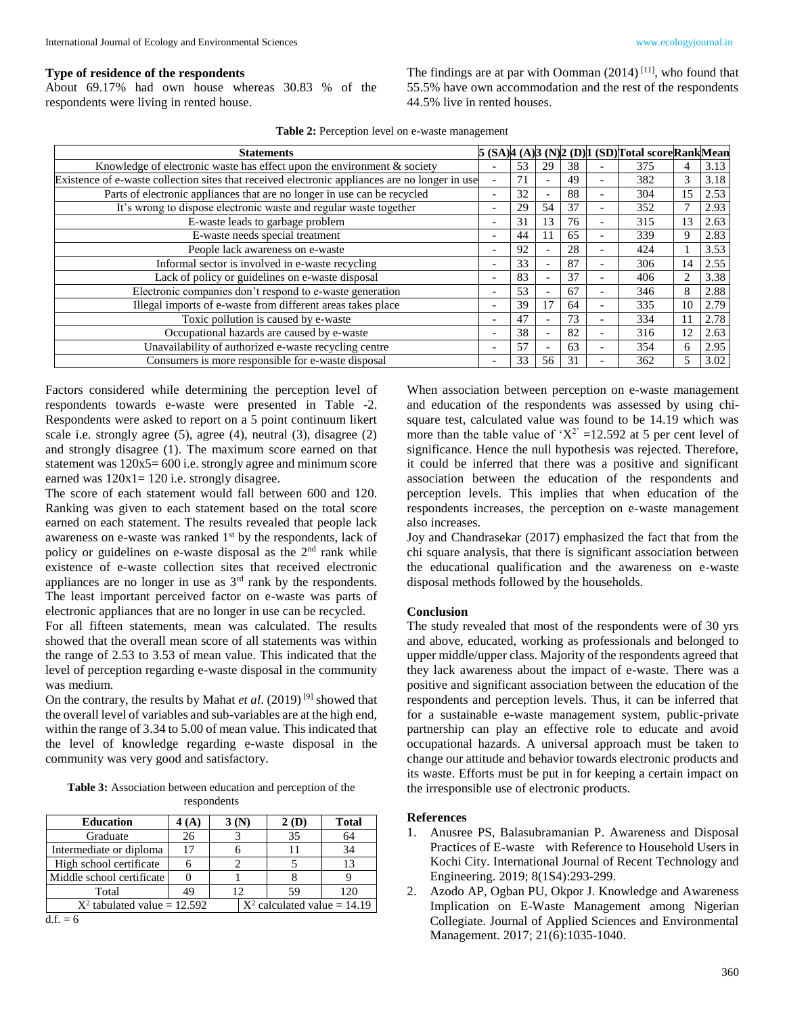### **Type of residence of the respondents**

About 69.17% had own house whereas 30.83 % of the respondents were living in rented house.

The findings are at par with Oomman  $(2014)$ <sup>[11]</sup>, who found that 55.5% have own accommodation and the rest of the respondents 44.5% live in rented houses.

|  | <b>Table 2:</b> Perception level on e-waste management |
|--|--------------------------------------------------------|
|--|--------------------------------------------------------|

| <b>Statements</b>                                                                              |                          |    |                          |    |                          | 5 (SA)4 (A)3 (N)2 (D)1 (SD)Total scoreRankMean |    |      |
|------------------------------------------------------------------------------------------------|--------------------------|----|--------------------------|----|--------------------------|------------------------------------------------|----|------|
| Knowledge of electronic waste has effect upon the environment $\&$ society                     |                          | 53 | 29                       | 38 |                          | 375                                            |    | 3.13 |
| Existence of e-waste collection sites that received electronic appliances are no longer in use | $\blacksquare$           | 71 | $\overline{\phantom{a}}$ | 49 | $\overline{\phantom{a}}$ | 382                                            | 3  | 3.18 |
| Parts of electronic appliances that are no longer in use can be recycled                       |                          | 32 | $\overline{\phantom{a}}$ | 88 | $\overline{\phantom{0}}$ | 304                                            | 15 | 2.53 |
| It's wrong to dispose electronic waste and regular waste together                              | $\overline{\phantom{a}}$ | 29 | 54                       | 37 | $\overline{\phantom{a}}$ | 352                                            |    | 2.93 |
| E-waste leads to garbage problem                                                               | $\overline{\phantom{a}}$ | 31 | 13                       | 76 | $\overline{\phantom{a}}$ | 315                                            | 13 | 2.63 |
| E-waste needs special treatment                                                                | $\overline{\phantom{0}}$ | 44 | 11                       | 65 | $\overline{\phantom{0}}$ | 339                                            | 9  | 2.83 |
| People lack awareness on e-waste                                                               | $\overline{\phantom{a}}$ | 92 | $\overline{\phantom{a}}$ | 28 | $\overline{\phantom{a}}$ | 424                                            |    | 3.53 |
| Informal sector is involved in e-waste recycling                                               | $\overline{\phantom{a}}$ | 33 | $\overline{\phantom{a}}$ | 87 | $\overline{\phantom{0}}$ | 306                                            | 14 | 2.55 |
| Lack of policy or guidelines on e-waste disposal                                               | $\overline{\phantom{a}}$ | 83 | $\overline{\phantom{0}}$ | 37 | $\overline{\phantom{0}}$ | 406                                            |    | 3.38 |
| Electronic companies don't respond to e-waste generation                                       | $\overline{\phantom{0}}$ | 53 | $\overline{\phantom{0}}$ | 67 | $\overline{\phantom{0}}$ | 346                                            | 8  | 2.88 |
| Illegal imports of e-waste from different areas takes place                                    | $\qquad \qquad$          | 39 | 17                       | 64 | $\overline{\phantom{a}}$ | 335                                            | 10 | 2.79 |
| Toxic pollution is caused by e-waste                                                           | $\overline{\phantom{a}}$ | 47 | $\overline{\phantom{a}}$ | 73 | $\overline{\phantom{0}}$ | 334                                            |    | 2.78 |
| Occupational hazards are caused by e-waste                                                     | $\qquad \qquad$          | 38 | $\overline{\phantom{a}}$ | 82 | $\overline{\phantom{a}}$ | 316                                            | 12 | 2.63 |
| Unavailability of authorized e-waste recycling centre                                          | $\overline{\phantom{a}}$ | 57 | $\overline{\phantom{a}}$ | 63 | $\overline{\phantom{0}}$ | 354                                            | 6  | 2.95 |
| Consumers is more responsible for e-waste disposal                                             | $\overline{\phantom{a}}$ | 33 | 56                       | 31 | $\overline{\phantom{0}}$ | 362                                            | 5  | 3.02 |

Factors considered while determining the perception level of respondents towards e-waste were presented in Table -2. Respondents were asked to report on a 5 point continuum likert scale i.e. strongly agree (5), agree (4), neutral (3), disagree (2) and strongly disagree (1). The maximum score earned on that statement was  $120x5=600$  i.e. strongly agree and minimum score earned was  $120x1 = 120$  i.e. strongly disagree.

The score of each statement would fall between 600 and 120. Ranking was given to each statement based on the total score earned on each statement. The results revealed that people lack awareness on e-waste was ranked 1<sup>st</sup> by the respondents, lack of policy or guidelines on e-waste disposal as the 2<sup>nd</sup> rank while existence of e-waste collection sites that received electronic appliances are no longer in use as 3rd rank by the respondents. The least important perceived factor on e-waste was parts of electronic appliances that are no longer in use can be recycled.

For all fifteen statements, mean was calculated. The results showed that the overall mean score of all statements was within the range of 2.53 to 3.53 of mean value. This indicated that the level of perception regarding e-waste disposal in the community was medium.

On the contrary, the results by Mahat *et al.* (2019)<sup>[9]</sup> showed that the overall level of variables and sub-variables are at the high end, within the range of 3.34 to 5.00 of mean value. This indicated that the level of knowledge regarding e-waste disposal in the community was very good and satisfactory.

**Table 3:** Association between education and perception of the respondents

| <b>Education</b>                                                 | 4 (A) | 3(N) | 2(D) | <b>Total</b> |  |  |  |
|------------------------------------------------------------------|-------|------|------|--------------|--|--|--|
| Graduate                                                         | 26    |      | 35   | 64           |  |  |  |
| Intermediate or diploma                                          | 17    |      | 11   | 34           |  |  |  |
| High school certificate                                          | 6     |      |      | 13           |  |  |  |
| Middle school certificate                                        |       |      |      |              |  |  |  |
| Total                                                            | 49    | 12   | 59   | 120          |  |  |  |
| $X^2$ calculated value = 14.19<br>$X^2$ tabulated value = 12.592 |       |      |      |              |  |  |  |
| $d.f. = 6$                                                       |       |      |      |              |  |  |  |

When association between perception on e-waste management and education of the respondents was assessed by using chisquare test, calculated value was found to be 14.19 which was more than the table value of ' $X^2$ ' =12.592 at 5 per cent level of significance. Hence the null hypothesis was rejected. Therefore, it could be inferred that there was a positive and significant association between the education of the respondents and perception levels. This implies that when education of the respondents increases, the perception on e-waste management also increases.

Joy and Chandrasekar (2017) emphasized the fact that from the chi square analysis, that there is significant association between the educational qualification and the awareness on e-waste disposal methods followed by the households.

#### **Conclusion**

The study revealed that most of the respondents were of 30 yrs and above, educated, working as professionals and belonged to upper middle/upper class. Majority of the respondents agreed that they lack awareness about the impact of e-waste. There was a positive and significant association between the education of the respondents and perception levels. Thus, it can be inferred that for a sustainable e-waste management system, public-private partnership can play an effective role to educate and avoid occupational hazards. A universal approach must be taken to change our attitude and behavior towards electronic products and its waste. Efforts must be put in for keeping a certain impact on the irresponsible use of electronic products.

#### **References**

- 1. Anusree PS, Balasubramanian P. Awareness and Disposal Practices of E-waste with Reference to Household Users in Kochi City. International Journal of Recent Technology and Engineering. 2019; 8(1S4):293-299.
- 2. Azodo AP, Ogban PU, Okpor J. Knowledge and Awareness Implication on E-Waste Management among Nigerian Collegiate. Journal of Applied Sciences and Environmental Management. 2017; 21(6):1035-1040.